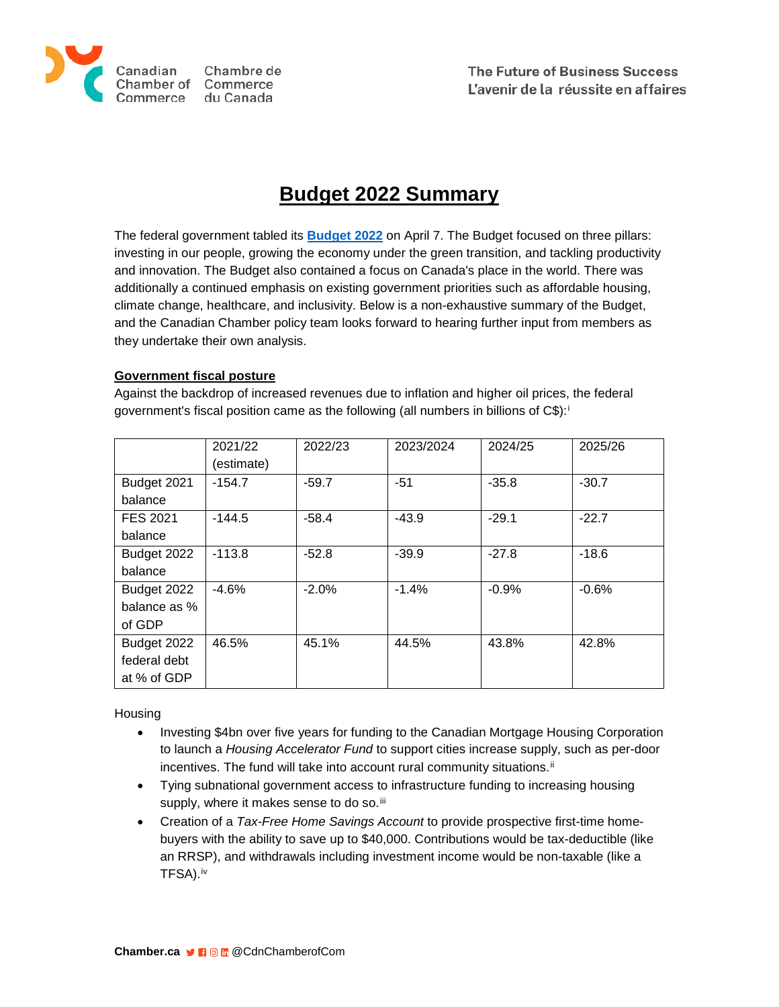

The Future of Business Success L'avenir de la réussite en affaires

# **Budget 2022 Summary**

The federal government tabled its **[Budget 2022](https://budget.gc.ca/2022/pdf/budget-2022-en.pdf)** on April 7. The Budget focused on three pillars: investing in our people, growing the economy under the green transition, and tackling productivity and innovation. The Budget also contained a focus on Canada's place in the world. There was additionally a continued emphasis on existing government priorities such as affordable housing, climate change, healthcare, and inclusivity. Below is a non-exhaustive summary of the Budget, and the Canadian Chamber policy team looks forward to hearing further input from members as they undertake their own analysis.

## **Government fiscal posture**

Against the backdrop of increased revenues due to inflation and higher oil prices, the federal government's fiscal position came as the following (all numbers in billions of C\$):[i](#page-1-0)

|              | 2021/22    | 2022/23 | 2023/2024 | 2024/25 | 2025/26 |
|--------------|------------|---------|-----------|---------|---------|
|              | (estimate) |         |           |         |         |
| Budget 2021  | $-154.7$   | $-59.7$ | $-51$     | $-35.8$ | $-30.7$ |
| balance      |            |         |           |         |         |
| FES 2021     | $-144.5$   | $-58.4$ | $-43.9$   | $-29.1$ | $-22.7$ |
| balance      |            |         |           |         |         |
| Budget 2022  | $-113.8$   | $-52.8$ | $-39.9$   | $-27.8$ | $-18.6$ |
| balance      |            |         |           |         |         |
| Budget 2022  | $-4.6%$    | $-2.0%$ | $-1.4%$   | $-0.9%$ | $-0.6%$ |
| balance as % |            |         |           |         |         |
| of GDP       |            |         |           |         |         |
| Budget 2022  | 46.5%      | 45.1%   | 44.5%     | 43.8%   | 42.8%   |
| federal debt |            |         |           |         |         |
| at % of GDP  |            |         |           |         |         |

**Housing** 

- Investing \$4bn over five years for funding to the Canadian Mortgage Housing Corporation to launch a *Housing Accelerator Fund* to support cities increase supply, such as per-door incentives. The fund will take into account rural community situations.<sup>[ii](#page-1-1)</sup>
- Tying subnational government access to infrastructure funding to increasing housing supply, where it makes sense to do so.<sup>[iii](#page-1-2)</sup>
- Creation of a *Tax-Free Home Savings Account* to provide prospective first-time homebuyers with the ability to save up to \$40,000. Contributions would be tax-deductible (like an RRSP), and withdrawals including investment income would be non-taxable (like a TFSA).[iv](#page-1-3)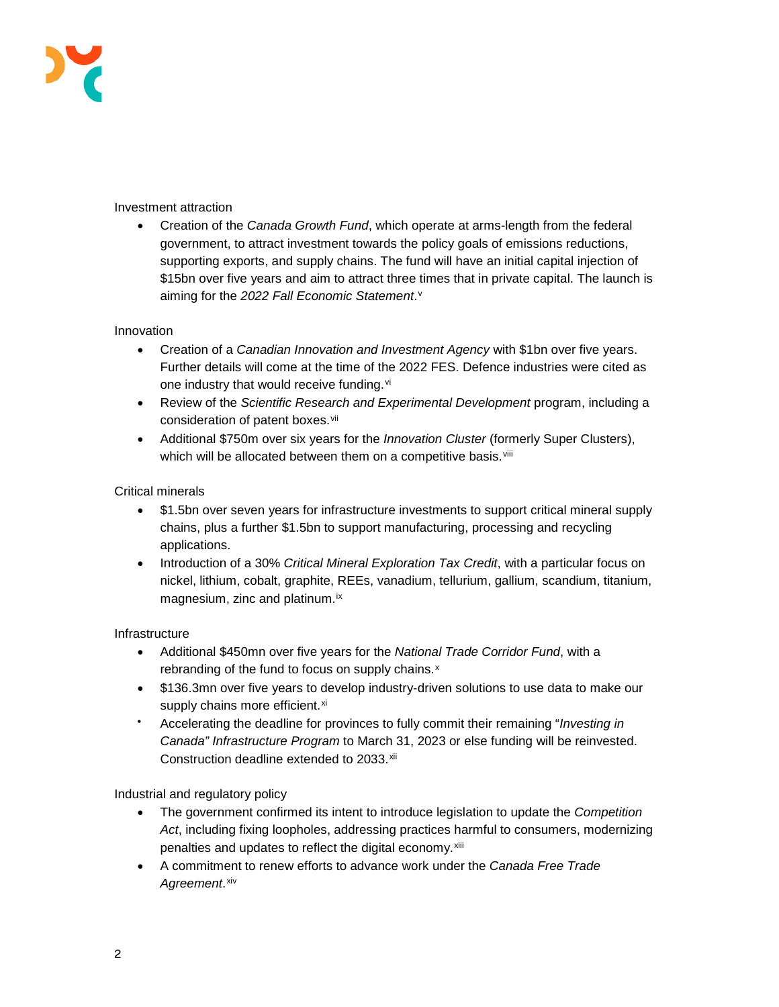

Investment attraction

• Creation of the *Canada Growth Fund*, which operate at arms-length from the federal government, to attract investment towards the policy goals of emissions reductions, supporting exports, and supply chains. The fund will have an initial capital injection of \$15bn over five years and aim to attract three times that in private capital. The launch is aiming for the *2022 Fall Economic Statement*.[v](#page-1-4)

### <span id="page-1-5"></span><span id="page-1-4"></span><span id="page-1-3"></span><span id="page-1-2"></span><span id="page-1-1"></span><span id="page-1-0"></span>Innovation

- Creation of a *Canadian Innovation and Investment Agency* with \$1bn over five years. Further details will come at the time of the 2022 FES. Defence industries were cited as one industry that would receive funding.<sup>[vi](#page-1-5)</sup>
- Review of the *Scientific Research and Experimental Development* program, including a consideration of patent boxes. Vii
- Additional \$750m over six years for the *Innovation Cluster* (formerly Super Clusters), which will be allocated between them on a competitive basis.<sup>[viii](#page-1-7)</sup>

### <span id="page-1-15"></span><span id="page-1-14"></span><span id="page-1-13"></span><span id="page-1-12"></span><span id="page-1-11"></span><span id="page-1-10"></span><span id="page-1-9"></span><span id="page-1-8"></span><span id="page-1-7"></span><span id="page-1-6"></span>Critical minerals

- \$1.5bn over seven years for infrastructure investments to support critical mineral supply chains, plus a further \$1.5bn to support manufacturing, processing and recycling applications.
- Introduction of a 30% *Critical Mineral Exploration Tax Credit*, with a particular focus on nickel, lithium, cobalt, graphite, REEs, vanadium, tellurium, gallium, scandium, titanium, magnesium, zinc and platinum.<sup>[ix](#page-1-8)</sup>

### <span id="page-1-23"></span><span id="page-1-22"></span><span id="page-1-21"></span><span id="page-1-20"></span><span id="page-1-19"></span><span id="page-1-18"></span><span id="page-1-17"></span><span id="page-1-16"></span>Infrastructure

- Additional \$450mn over five years for the *National Trade Corridor Fund*, with a rebranding of the fund to focus on supply chains.<sup>[x](#page-1-9)</sup>
- \$136.3mn over five years to develop industry-driven solutions to use data to make our supply chains more efficient.<sup>[xi](#page-1-10)</sup>
- Accelerating the deadline for provinces to fully commit their remaining "*Investing in Canada" Infrastructure Program* to March 31, 2023 or else funding will be reinvested. Construction deadline extended to 2033.[xii](#page-1-11)

<span id="page-1-31"></span><span id="page-1-30"></span><span id="page-1-29"></span><span id="page-1-28"></span><span id="page-1-27"></span><span id="page-1-26"></span><span id="page-1-25"></span><span id="page-1-24"></span>Industrial and regulatory policy

- The government confirmed its intent to introduce legislation to update the *Competition Act*, including fixing loopholes, addressing practices harmful to consumers, modernizing penalties and updates to reflect the digital economy.<sup>[xiii](#page-1-12)</sup>
- A commitment to renew efforts to advance work under the *Canada Free Trade Agreement*.[xiv](#page-1-13)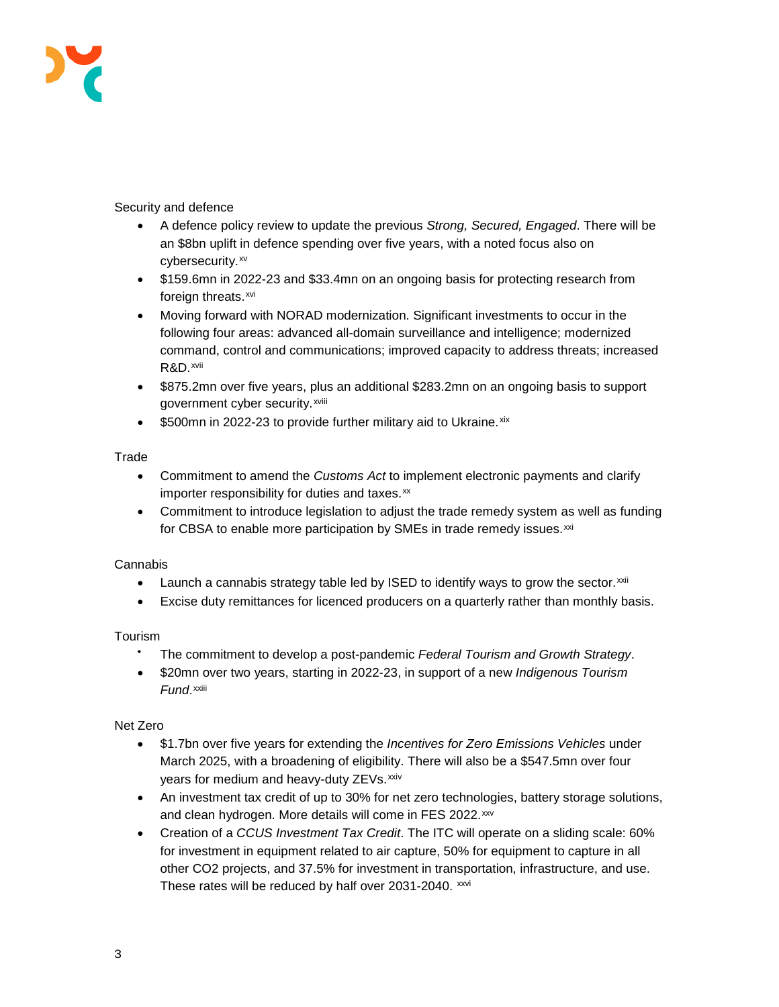

## <span id="page-2-3"></span><span id="page-2-2"></span><span id="page-2-1"></span><span id="page-2-0"></span>Security and defence

- A defence policy review to update the previous *Strong, Secured, Engaged*. There will be an \$8bn uplift in defence spending over five years, with a noted focus also on cybersecurity.<sup>[xv](#page-1-14)</sup>
- <span id="page-2-4"></span>• \$159.6mn in 2022-23 and \$33.4mn on an ongoing basis for protecting research from foreign threats.<sup>[xvi](#page-1-15)</sup>
- <span id="page-2-6"></span><span id="page-2-5"></span>• Moving forward with NORAD modernization. Significant investments to occur in the following four areas: advanced all-domain surveillance and intelligence; modernized command, control and communications; improved capacity to address threats; increased R&D.[xvii](#page-1-16)
- <span id="page-2-8"></span><span id="page-2-7"></span>• \$875.2mn over five years, plus an additional \$283.2mn on an ongoing basis to support government cyber security.xviii
- \$500mn in 2022-23 to provide further military aid to Ukraine. [xix](#page-1-17)

## <span id="page-2-9"></span>Trade

- Commitment to amend the *Customs Act* to implement electronic payments and clarify importer responsibility for duties and taxes.[xx](#page-1-18)
- Commitment to introduce legislation to adjust the trade remedy system as well as funding for CBSA to enable more participation by SMEs in trade remedy issues.<sup>[xxi](#page-1-19)</sup>

### Cannabis

- Launch a cannabis strategy table led by ISED to identify ways to grow the sector. $x$ xii
- Excise duty remittances for licenced producers on a quarterly rather than monthly basis.

## Tourism

- The commitment to develop a post-pandemic *Federal Tourism and Growth Strategy*.
- \$20mn over two years, starting in 2022-23, in support of a new *Indigenous Tourism Fund*.xxiii

## Net Zero

- \$1.7bn over five years for extending the *Incentives for Zero Emissions Vehicles* under March 2025, with a broadening of eligibility. There will also be a \$547.5mn over four years for medium and heavy-duty ZEVs. [xxiv](#page-1-21)
- An investment tax credit of up to 30% for net zero technologies, battery storage solutions, and clean hydrogen. More details will come in FES 2022.<sup>[xxv](#page-1-22)</sup>
- Creation of a *CCUS Investment Tax Credit*. The ITC will operate on a sliding scale: 60% for investment in equipment related to air capture, 50% for equipment to capture in all other CO2 projects, and 37.5% for investment in transportation, infrastructure, and use. These rates will be reduced by half over 2031-2040. [xxvi](#page-1-23)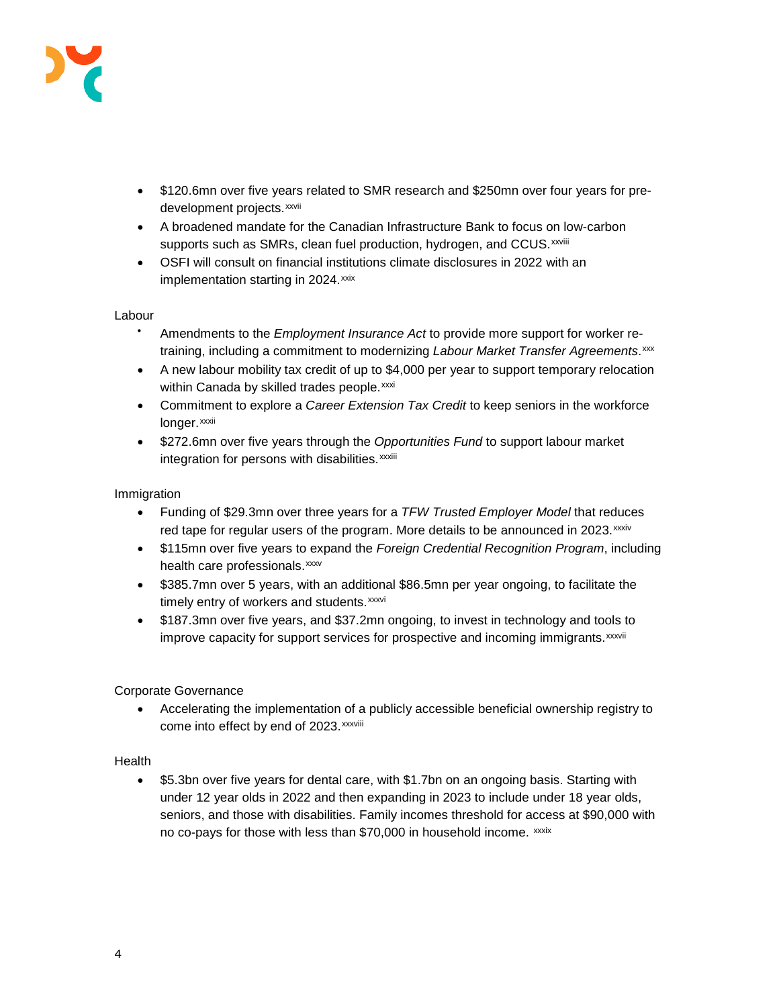

- \$120.6mn over five years related to SMR research and \$250mn over four years for predevelopment projects. xxvii
- A broadened mandate for the Canadian Infrastructure Bank to focus on low-carbon supports such as SMRs, clean fuel production, hydrogen, and CCUS. xxviii
- OSFI will consult on financial institutions climate disclosures in 2022 with an implementation starting in 2024.<sup>[xxix](#page-1-24)</sup>

### Labour

- Amendments to the *Employment Insurance Act* to provide more support for worker retraining, including a commitment to modernizing *Labour Market Transfer Agreements*.[xxx](#page-1-25)
- A new labour mobility tax credit of up to \$4,000 per year to support temporary relocation within Canada by skilled trades people. [xxxi](#page-1-26)
- Commitment to explore a *Career Extension Tax Credit* to keep seniors in the workforce longer.xxxii
- \$272.6mn over five years through the *Opportunities Fund* to support labour market [i](#page-1-27)ntegration for persons with disabilities. xxxiii

### Immigration

- Funding of \$29.3mn over three years for a *TFW Trusted Employer Model* that reduces red tape for regular users of the program. More details to be announced in 2023. xxxi[v](#page-1-28)
- \$115mn over five years to expand the *Foreign Credential Recognition Program*, including health care professionals.[xxxv](#page-1-29)
- \$385.7mn over 5 years, with an additional \$86.5mn per year ongoing, to facilitate the t[i](#page-1-30)mely entry of workers and students.xxxvi
- \$187.3mn over five years, and \$37.2mn ongoing, to invest in technology and tools to [i](#page-1-31)mprove capacity for support services for prospective and incoming immigrants.<sup>xxxvii</sup>

### Corporate Governance

• Accelerating the implementation of a publicly accessible beneficial ownership registry to come into effect by end of 2023. xxxviii

### Health

• \$5.3bn over five years for dental care, with \$1.7bn on an ongoing basis. Starting with under 12 year olds in 2022 and then expanding in 2023 to include under 18 year olds, seniors, and those with disabilities. Family incomes threshold for access at \$90,000 with no co-pays for those with less than \$70,000 in household income. xxxix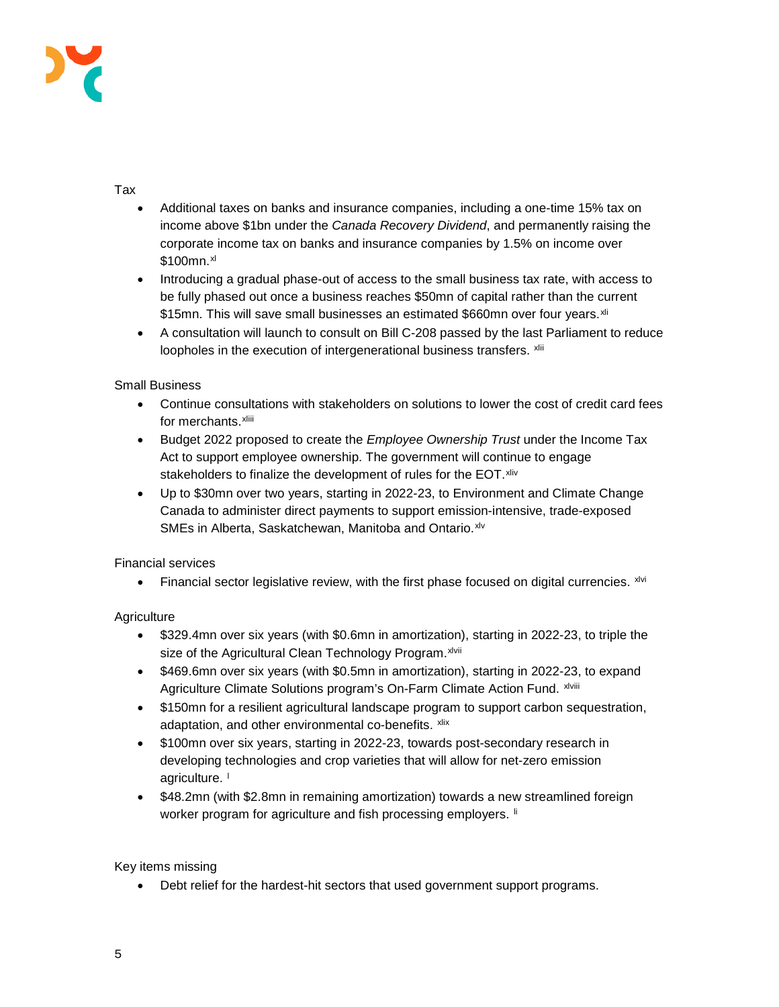

## Tax

- Additional taxes on banks and insurance companies, including a one-time 15% tax on income above \$1bn under the *Canada Recovery Dividend*, and permanently raising the corporate income tax on banks and insurance companies by 1.5% on income over \$100mn.<sup>[xl](#page-2-0)</sup>
- Introducing a gradual phase-out of access to the small business tax rate, with access to be fully phased out once a business reaches \$50mn of capital rather than the current \$15mn. This will save small businesses an estimated \$660mn over four years. [xli](#page-2-1)
- A consultation will launch to consult on Bill C-208 passed by the last Parliament to reduce loopholes in the execution of intergenerational business transfers. [xlii](#page-2-2)

## Small Business

- Continue consultations with stakeholders on solutions to lower the cost of credit card fees for merchants.xliii
- Budget 2022 proposed to create the *Employee Ownership Trust* under the Income Tax Act to support employee ownership. The government will continue to engage stakeholders to finalize the development of rules for the EOT. [xliv](#page-2-3)
- Up to \$30mn over two years, starting in 2022-23, to Environment and Climate Change Canada to administer direct payments to support emission-intensive, trade-exposed SMEs in Alberta, Saskatchewan, Manitoba and Ontario.[xlv](#page-2-4)

## Financial services

• Financial sector legislative review, with the first phase focused on digital currencies.  $x^{iv}$ 

## **Agriculture**

- \$329.4mn over six years (with \$0.6mn in amortization), starting in 2022-23, to triple the s[i](#page-2-6)ze of the Agricultural Clean Technology Program. xlvii
- \$469.6mn over six years (with \$0.5mn in amortization), starting in 2022-23, to expand Agriculture Climate Solutions program's On-Farm Climate Action Fund. xlviii
- \$150mn for a resilient agricultural landscape program to support carbon sequestration, adaptation, and other environmental co-benefits. [xlix](#page-2-7)
- \$100mn over six years, starting in 2022-23, towards post-secondary research in developing technologies and crop varieties that will allow for net-zero emission agricu[l](#page-2-8)ture. |
- \$48.2mn (with \$2.8mn in remaining amortization) towards a new streamlined foreign worker program for agriculture and fish processing employers. If

## Key items missing

• Debt relief for the hardest-hit sectors that used government support programs.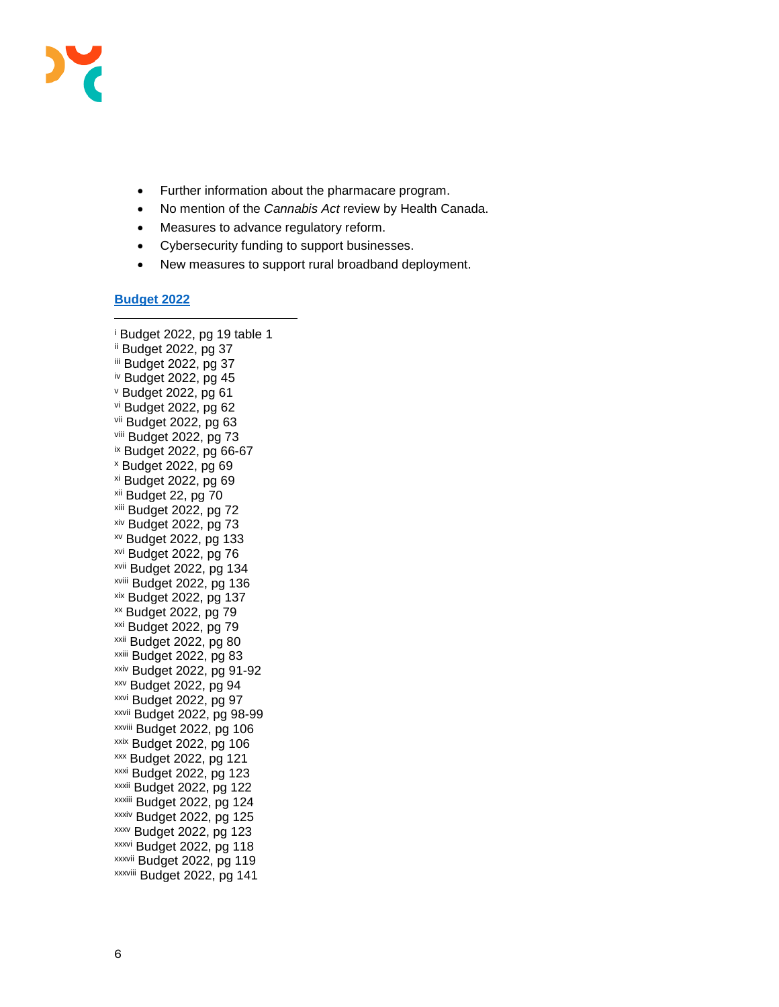

- Further information about the pharmacare program.
- No mention of the *Cannabis Act* review by Health Canada.
- Measures to advance regulatory reform.
- Cybersecurity funding to support businesses.
- New measures to support rural broadband deployment.

#### **[Budget 2022](https://budget.gc.ca/2022/pdf/budget-2022-en.pdf)**

-

<sup>i</sup> Budget 2022, pg 19 table 1 ii Budget 2022, pg 37 iii Budget 2022, pg 37 iv Budget 2022, pg 45 <sup>v</sup> Budget 2022, pg 61 vi Budget 2022, pg 62 vii Budget 2022, pg 63 viii Budget 2022, pg 73 ix Budget 2022, pg 66-67 <sup>x</sup> Budget 2022, pg 69 xi Budget 2022, pg 69 xii Budget 22, pg 70 xiii Budget 2022, pg 72 xiv Budget 2022, pg 73 xv Budget 2022, pg 133 xvi Budget 2022, pg 76 xvii Budget 2022, pg 134 xviii Budget 2022, pg 136 xix Budget 2022, pg 137 xx Budget 2022, pg 79 xxi Budget 2022, pg 79 xxii Budget 2022, pg 80 xxiii Budget 2022, pg 83 xxiv Budget 2022, pg 91-92 xxv Budget 2022, pg 94 xxvi Budget 2022, pg 97 xxvii Budget 2022, pg 98-99 xxviii Budget 2022, pg 106 xxix Budget 2022, pg 106 xxx Budget 2022, pg 121 xxxi Budget 2022, pg 123 xxxii Budget 2022, pg 122 xxxiii Budget 2022, pg 124 xxxiv Budget 2022, pg 125 xxxv Budget 2022, pg 123 xxxvi Budget 2022, pg 118 xxxvii Budget 2022, pg 119 xxxviii Budget 2022, pg 141